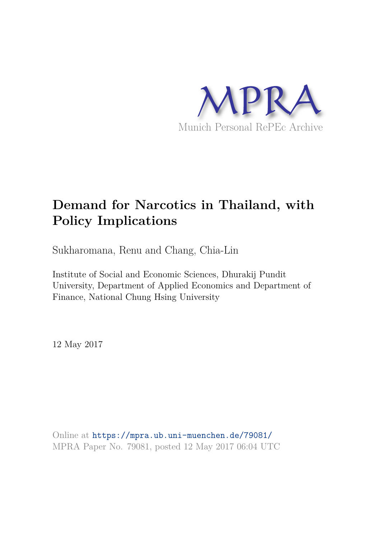

# **Demand for Narcotics in Thailand, with Policy Implications**

Sukharomana, Renu and Chang, Chia-Lin

Institute of Social and Economic Sciences, Dhurakij Pundit University, Department of Applied Economics and Department of Finance, National Chung Hsing University

12 May 2017

Online at https://mpra.ub.uni-muenchen.de/79081/ MPRA Paper No. 79081, posted 12 May 2017 06:04 UTC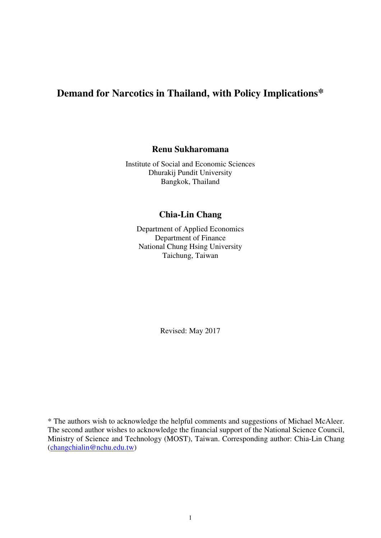## **Demand for Narcotics in Thailand, with Policy Implications\***

## **Renu Sukharomana**

Institute of Social and Economic Sciences Dhurakij Pundit University Bangkok, Thailand

## **Chia-Lin Chang**

Department of Applied Economics Department of Finance National Chung Hsing University Taichung, Taiwan

Revised: May 2017

\* The authors wish to acknowledge the helpful comments and suggestions of Michael McAleer. The second author wishes to acknowledge the financial support of the National Science Council, Ministry of Science and Technology (MOST), Taiwan. Corresponding author: Chia-Lin Chang (changchialin@nchu.edu.tw)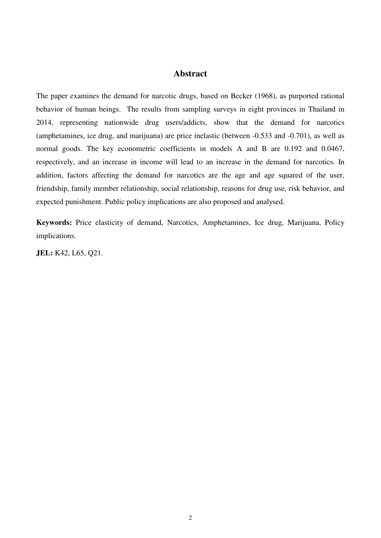## **Abstract**

The paper examines the demand for narcotic drugs, based on Becker (1968), as purported rational behavior of human beings. The results from sampling surveys in eight provinces in Thailand in 2014, representing nationwide drug users/addicts, show that the demand for narcotics (amphetamines, ice drug, and marijuana) are price inelastic (between -0.533 and -0.701), as well as normal goods. The key econometric coefficients in models A and B are 0.192 and 0.0467, respectively, and an increase in income will lead to an increase in the demand for narcotics. In addition, factors affecting the demand for narcotics are the age and age squared of the user, friendship, family member relationship, social relationship, reasons for drug use, risk behavior, and expected punishment. Public policy implications are also proposed and analysed.

**Keywords:** Price elasticity of demand, Narcotics, Amphetamines, Ice drug, Marijuana, Policy implications.

**JEL:** K42, L65, Q21.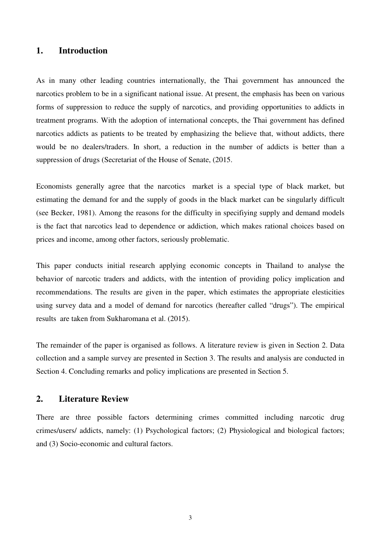## **1. Introduction**

As in many other leading countries internationally, the Thai government has announced the narcotics problem to be in a significant national issue. At present, the emphasis has been on various forms of suppression to reduce the supply of narcotics, and providing opportunities to addicts in treatment programs. With the adoption of international concepts, the Thai government has defined narcotics addicts as patients to be treated by emphasizing the believe that, without addicts, there would be no dealers/traders. In short, a reduction in the number of addicts is better than a suppression of drugs (Secretariat of the House of Senate,  $(2015.$ 

Economists generally agree that the narcotics market is a special type of black market, but estimating the demand for and the supply of goods in the black market can be singularly difficult (see Becker, 1981). Among the reasons for the difficulty in specifiying supply and demand models is the fact that narcotics lead to dependence or addiction, which makes rational choices based on prices and income, among other factors, seriously problematic.

This paper conducts initial research applying economic concepts in Thailand to analyse the behavior of narcotic traders and addicts, with the intention of providing policy implication and recommendations. The results are given in the paper, which estimates the appropriate elesticities using survey data and a model of demand for narcotics (hereafter called "drugs"). The empirical results are taken from Sukharomana et al. (2015).

The remainder of the paper is organised as follows. A literature review is given in Section 2. Data collection and a sample survey are presented in Section 3. The results and analysis are conducted in Section 4. Concluding remarks and policy implications are presented in Section 5.

## **2. Literature Review**

There are three possible factors determining crimes committed including narcotic drug crimes/users/ addicts, namely: (1) Psychological factors; (2) Physiological and biological factors; and (3) Socio-economic and cultural factors.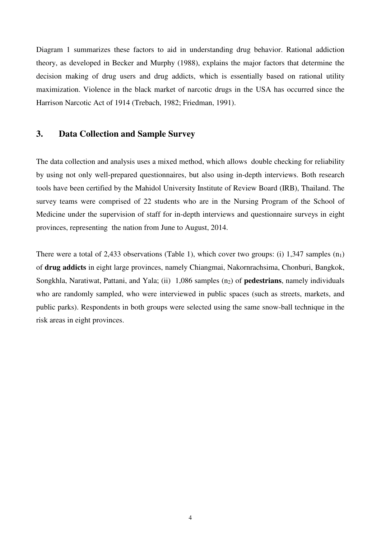Diagram 1 summarizes these factors to aid in understanding drug behavior. Rational addiction theory, as developed in Becker and Murphy (1988), explains the major factors that determine the decision making of drug users and drug addicts, which is essentially based on rational utility maximization. Violence in the black market of narcotic drugs in the USA has occurred since the Harrison Narcotic Act of 1914 (Trebach, 1982; Friedman, 1991).

## **3. Data Collection and Sample Survey**

The data collection and analysis uses a mixed method, which allows double checking for reliability by using not only well-prepared questionnaires, but also using in-depth interviews. Both research tools have been certified by the Mahidol University Institute of Review Board (IRB), Thailand. The survey teams were comprised of 22 students who are in the Nursing Program of the School of Medicine under the supervision of staff for in-depth interviews and questionnaire surveys in eight provinces, representing the nation from June to August, 2014.

There were a total of 2,433 observations (Table 1), which cover two groups: (i) 1,347 samples  $(n_1)$ of **drug addicts** in eight large provinces, namely Chiangmai, Nakornrachsima, Chonburi, Bangkok, Songkhla, Naratiwat, Pattani, and Yala; (ii) 1,086 samples (n<sub>2</sub>) of **pedestrians**, namely individuals who are randomly sampled, who were interviewed in public spaces (such as streets, markets, and public parks). Respondents in both groups were selected using the same snow-ball technique in the risk areas in eight provinces.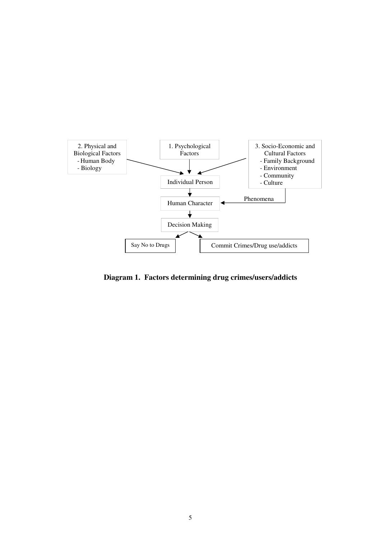

**Diagram 1. Factors determining drug crimes/users/addicts**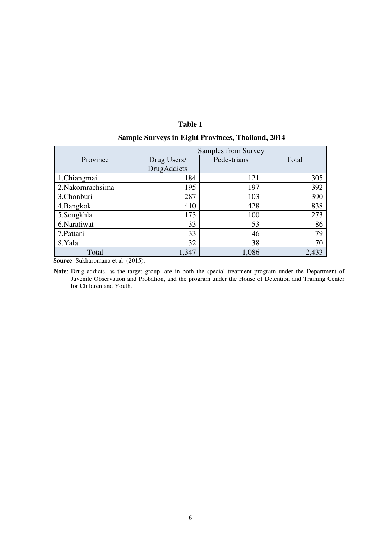## **Table 1**

|                  | Samples from Survey |             |       |  |
|------------------|---------------------|-------------|-------|--|
| Province         | Drug Users/         | Pedestrians | Total |  |
|                  | DrugAddicts         |             |       |  |
| 1.Chiangmai      | 184                 | 121         | 305   |  |
| 2.Nakornrachsima | 195                 | 197         | 392   |  |
| 3.Chonburi       | 287                 | 103         | 390   |  |
| 4.Bangkok        | 410                 | 428         | 838   |  |
| 5.Songkhla       | 173                 | 100         | 273   |  |
| 6.Naratiwat      | 33                  | 53          | 86    |  |
| 7. Pattani       | 33                  | 46          | 79    |  |
| 8.Yala           | 32                  | 38          | 70    |  |
| Total            | 1,347               | 1,086       | 2,433 |  |

 **Source**: Sukharomana et al. (2015).

**Note**: Drug addicts, as the target group, are in both the special treatment program under the Department of Juvenile Observation and Probation, and the program under the House of Detention and Training Center for Children and Youth.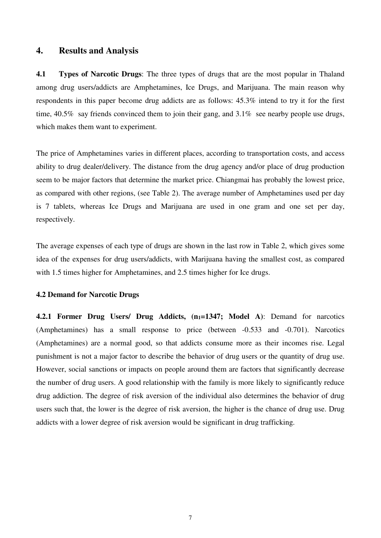### **4. Results and Analysis**

**4.1 Types of Narcotic Drugs**: The three types of drugs that are the most popular in Thaland among drug users/addicts are Amphetamines, Ice Drugs, and Marijuana. The main reason why respondents in this paper become drug addicts are as follows: 45.3% intend to try it for the first time, 40.5% say friends convinced them to join their gang, and 3.1% see nearby people use drugs, which makes them want to experiment.

The price of Amphetamines varies in different places, according to transportation costs, and access ability to drug dealer/delivery. The distance from the drug agency and/or place of drug production seem to be major factors that determine the market price. Chiangmai has probably the lowest price, as compared with other regions, (see Table 2). The average number of Amphetamines used per day is 7 tablets, whereas Ice Drugs and Marijuana are used in one gram and one set per day, respectively.

The average expenses of each type of drugs are shown in the last row in Table 2, which gives some idea of the expenses for drug users/addicts, with Marijuana having the smallest cost, as compared with 1.5 times higher for Amphetamines, and 2.5 times higher for Ice drugs.

#### **4.2 Demand for Narcotic Drugs**

**4.2.1 Former Drug Users/ Drug Addicts, (n<sub>1</sub>=1347; Model A): Demand for narcotics** (Amphetamines) has a small response to price (between -0.533 and -0.701). Narcotics (Amphetamines) are a normal good, so that addicts consume more as their incomes rise. Legal punishment is not a major factor to describe the behavior of drug users or the quantity of drug use. However, social sanctions or impacts on people around them are factors that significantly decrease the number of drug users. A good relationship with the family is more likely to significantly reduce drug addiction. The degree of risk aversion of the individual also determines the behavior of drug users such that, the lower is the degree of risk aversion, the higher is the chance of drug use. Drug addicts with a lower degree of risk aversion would be significant in drug trafficking.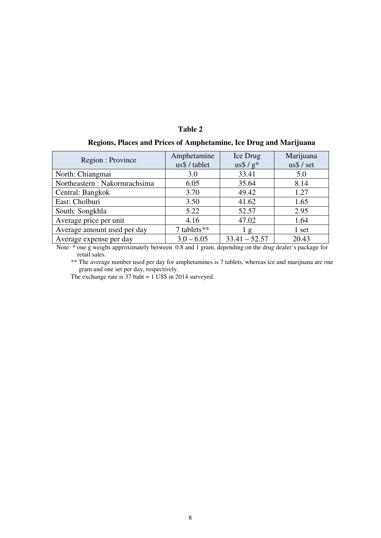#### **Table 2**

| Regions, Places and Prices of Amphetamine, Ice Drug and Marijuana |  |  |  |
|-------------------------------------------------------------------|--|--|--|
|-------------------------------------------------------------------|--|--|--|

| Region : Province             | Amphetamine<br>us\$ / tablet | Ice Drug<br>$\text{us}\$ / $\text{g}^*$ | Marijuana<br>$\text{us}\$ / set |  |
|-------------------------------|------------------------------|-----------------------------------------|---------------------------------|--|
| North: Chiangmai              | 3.0                          | 33.41                                   | 5.0                             |  |
| Northeastern : Nakormrachsima | 6.05                         | 35.64                                   | 8.14                            |  |
| Central: Bangkok              | 3.70                         | 49.42                                   | 1.27                            |  |
| East: Cholburi                | 3.50                         | 41.62                                   | 1.65                            |  |
| South: Songkhla               | 5.22                         | 52.57                                   | 2.95                            |  |
| Average price per unit        | 4.16                         | 47.02                                   | 1.64                            |  |
| Average amount used per day   | 7 tablets**                  | 1g                                      | 1 set                           |  |
| Average expense per day       | $3.0 - 6.05$                 | $33.41 - 52.57$                         | 20.43                           |  |

Note: \* one g weighs approximately between 0.8 and 1 gram, depending on the drug dealer's package for retail sales.

\*\* The average number used per day for amphetamines is 7 tablets, whereas ice and marijuana are one gram and one set per day, respectively.

The exchange rate is 37 baht = 1 US\$ in 2014 surveyed.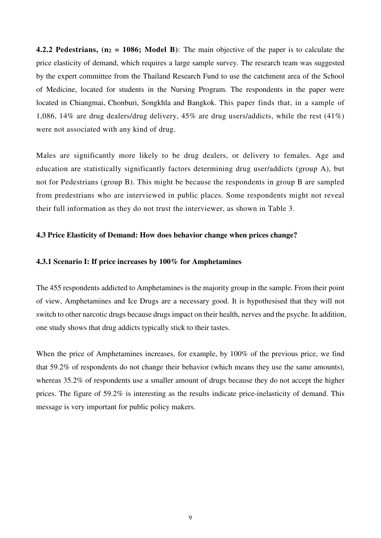**4.2.2 Pedestrians, (n<sup>2</sup> = 1086; Model B)**: The main objective of the paper is to calculate the price elasticity of demand, which requires a large sample survey. The research team was suggested by the expert committee from the Thailand Research Fund to use the catchment area of the School of Medicine, located for students in the Nursing Program. The respondents in the paper were located in Chiangmai, Chonburi, Songkhla and Bangkok. This paper finds that, in a sample of 1,086, 14% are drug dealers/drug delivery, 45% are drug users/addicts, while the rest (41%) were not associated with any kind of drug.

Males are significantly more likely to be drug dealers, or delivery to females. Age and education are statistically significantly factors determining drug user/addicts (group A), but not for Pedestrians (group B). This might be because the respondents in group B are sampled from predestrians who are interviewed in public places. Some respondents might not reveal their full information as they do not trust the interviewer, as shown in Table 3.

#### **4.3 Price Elasticity of Demand: How does behavior change when prices change?**

#### **4.3.1 Scenario I: If price increases by 100% for Amphetamines**

The 455 respondents addicted to Amphetamines is the majority group in the sample. From their point of view, Amphetamines and Ice Drugs are a necessary good. It is hypothesised that they will not switch to other narcotic drugs because drugs impact on their health, nerves and the psyche. In addition, one study shows that drug addicts typically stick to their tastes.

When the price of Amphetamines increases, for example, by 100% of the previous price, we find that 59.2% of respondents do not change their behavior (which means they use the same amounts), whereas 35.2% of respondents use a smaller amount of drugs because they do not accept the higher prices. The figure of 59.2% is interesting as the results indicate price-inelasticity of demand. This message is very important for public policy makers.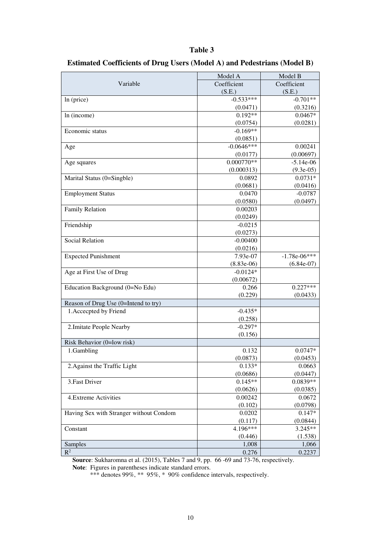#### **Table 3**

|                                         | Model A      | Model B        |  |  |
|-----------------------------------------|--------------|----------------|--|--|
| Variable                                | Coefficient  | Coefficient    |  |  |
|                                         | (S.E.)       | (S.E.)         |  |  |
| ln (price)                              | $-0.533***$  | $-0.701**$     |  |  |
|                                         | (0.0471)     | (0.3216)       |  |  |
| In (income)                             | $0.192**$    | $0.0467*$      |  |  |
|                                         | (0.0754)     | (0.0281)       |  |  |
| Economic status                         | $-0.169**$   |                |  |  |
|                                         | (0.0851)     |                |  |  |
| Age                                     | $-0.0646***$ | 0.00241        |  |  |
|                                         | (0.0177)     | (0.00697)      |  |  |
| Age squares                             | $0.000770**$ | $-5.14e-06$    |  |  |
|                                         | (0.000313)   | $(9.3e-05)$    |  |  |
| Marital Status (0=Singble)              | 0.0892       | $0.0731*$      |  |  |
|                                         | (0.0681)     | (0.0416)       |  |  |
| <b>Employment Status</b>                | 0.0470       | $-0.0787$      |  |  |
|                                         | (0.0580)     | (0.0497)       |  |  |
| Family Relation                         | 0.00203      |                |  |  |
|                                         | (0.0249)     |                |  |  |
| Friendship                              | $-0.0215$    |                |  |  |
|                                         | (0.0273)     |                |  |  |
| <b>Social Relation</b>                  | $-0.00400$   |                |  |  |
|                                         | (0.0216)     |                |  |  |
| <b>Expected Punishment</b>              | 7.93e-07     | $-1.78e-06***$ |  |  |
|                                         | $(8.83e-06)$ | $(6.84e-07)$   |  |  |
| Age at First Use of Drug                | $-0.0124*$   |                |  |  |
|                                         | (0.00672)    |                |  |  |
| Education Background (0=No Edu)         | 0.266        | $0.227***$     |  |  |
|                                         | (0.229)      | (0.0433)       |  |  |
| Reason of Drug Use (0=Intend to try)    |              |                |  |  |
| 1. Accecpted by Friend                  | $-0.435*$    |                |  |  |
|                                         | (0.258)      |                |  |  |
| 2. Imitate People Nearby                | $-0.297*$    |                |  |  |
|                                         | (0.156)      |                |  |  |
| Risk Behavior (0=low risk)              |              |                |  |  |
|                                         | 0.132        | $0.0747*$      |  |  |
| 1.Gambling                              | (0.0873)     | (0.0453)       |  |  |
| 2. Against the Traffic Light            | $0.133*$     | 0.0663         |  |  |
|                                         | (0.0686)     | (0.0447)       |  |  |
| 3. Fast Driver                          | $0.145**$    |                |  |  |
|                                         |              | $0.0839**$     |  |  |
|                                         | (0.0626)     | (0.0385)       |  |  |
| 4.Extreme Activities                    | 0.00242      | 0.0672         |  |  |
|                                         | (0.102)      | (0.0798)       |  |  |
| Having Sex with Stranger without Condom | 0.0202       | $0.147*$       |  |  |
|                                         | (0.117)      | (0.0844)       |  |  |
| Constant                                | 4.196***     | $3.245**$      |  |  |
|                                         | (0.446)      | (1.538)        |  |  |
| Samples                                 | 1,008        | 1,066          |  |  |
| $\overline{\mathrm{R}^2}$               | 0.276        | 0.2237         |  |  |

## **Estimated Coefficients of Drug Users (Model A) and Pedestrians (Model B)**

**Source**: Sukharomna et al. (2015), Tables 7 and 9, pp. 66 -69 and 73-76, respectively. **Note**: Figures in parentheses indicate standard errors.

\*\*\* denotes 99%, \*\* 95%, \* 90% confidence intervals, respectively.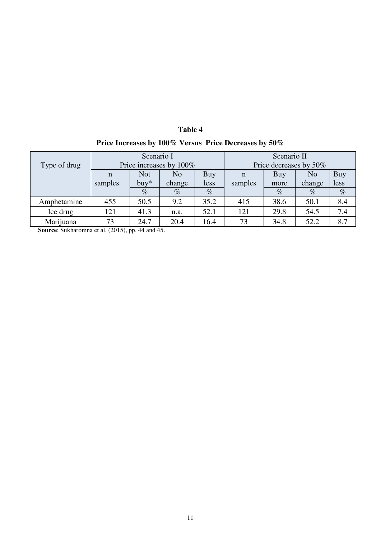|                                                       | Table 4 |  |
|-------------------------------------------------------|---------|--|
| Price Increases by 100% Versus Price Decreases by 50% |         |  |

| Type of drug | Scenario I<br>Price increases by 100% |            |        | Scenario II<br>Price decreases by 50% |         |      |                |      |
|--------------|---------------------------------------|------------|--------|---------------------------------------|---------|------|----------------|------|
|              | n                                     | <b>Not</b> | No     | Buy                                   | n       | Buy  | N <sub>o</sub> | Buy  |
|              | samples                               | $buy*$     | change | less                                  | samples | more | change         | less |
|              |                                       | $\%$       | $\%$   | $\%$                                  |         | $\%$ | $\%$           | $\%$ |
| Amphetamine  | 455                                   | 50.5       | 9.2    | 35.2                                  | 415     | 38.6 | 50.1           | 8.4  |
| Ice drug     | 121                                   | 41.3       | n.a.   | 52.1                                  | 121     | 29.8 | 54.5           | 7.4  |
| Marijuana    | 73                                    | 24.7       | 20.4   | 16.4                                  | 73      | 34.8 | 52.2           | 8.7  |

**Source**: Sukharomna et al. (2015), pp. 44 and 45.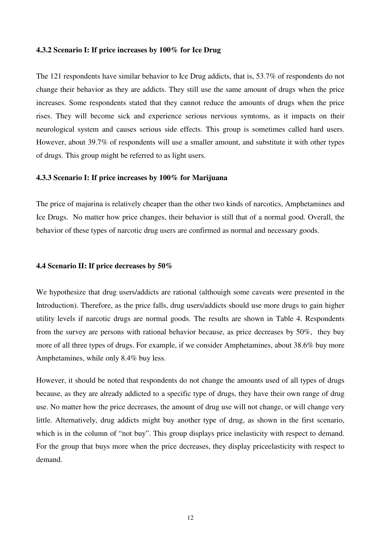#### **4.3.2 Scenario I: If price increases by 100% for Ice Drug**

The 121 respondents have similar behavior to Ice Drug addicts, that is, 53.7% of respondents do not change their behavior as they are addicts. They still use the same amount of drugs when the price increases. Some respondents stated that they cannot reduce the amounts of drugs when the price rises. They will become sick and experience serious nervious symtoms, as it impacts on their neurological system and causes serious side effects. This group is sometimes called hard users. However, about 39.7% of respondents will use a smaller amount, and substitute it with other types of drugs. This group might be referred to as light users.

#### **4.3.3 Scenario I: If price increases by 100% for Marijuana**

The price of majurina is relatively cheaper than the other two kinds of narcotics, Amphetamines and Ice Drugs. No matter how price changes, their behavior is still that of a normal good. Overall, the behavior of these types of narcotic drug users are confirmed as normal and necessary goods.

#### **4.4 Scenario II: If price decreases by 50%**

We hypothesize that drug users/addicts are rational (althouigh some caveats were presented in the Introduction). Therefore, as the price falls, drug users/addicts should use more drugs to gain higher utility levels if narcotic drugs are normal goods. The results are shown in Table 4. Respondents from the survey are persons with rational behavior because, as price decreases by 50%, they buy more of all three types of drugs. For example, if we consider Amphetamines, about 38.6% buy more Amphetamines, while only 8.4% buy less.

However, it should be noted that respondents do not change the amounts used of all types of drugs because, as they are already addicted to a specific type of drugs, they have their own range of drug use. No matter how the price decreases, the amount of drug use will not change, or will change very little. Alternatively, drug addicts might buy another type of drug, as shown in the first scenario, which is in the column of "not buy". This group displays price inelasticity with respect to demand. For the group that buys more when the price decreases, they display priceelasticity with respect to demand.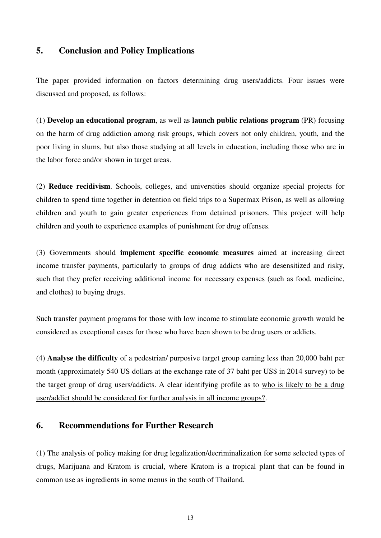## **5. Conclusion and Policy Implications**

The paper provided information on factors determining drug users/addicts. Four issues were discussed and proposed, as follows:

(1) **Develop an educational program**, as well as **launch public relations program** (PR) focusing on the harm of drug addiction among risk groups, which covers not only children, youth, and the poor living in slums, but also those studying at all levels in education, including those who are in the labor force and/or shown in target areas.

(2) **Reduce recidivism**. Schools, colleges, and universities should organize special projects for children to spend time together in detention on field trips to a Supermax Prison, as well as allowing children and youth to gain greater experiences from detained prisoners. This project will help children and youth to experience examples of punishment for drug offenses.

(3) Governments should **implement specific economic measures** aimed at increasing direct income transfer payments, particularly to groups of drug addicts who are desensitized and risky, such that they prefer receiving additional income for necessary expenses (such as food, medicine, and clothes) to buying drugs.

Such transfer payment programs for those with low income to stimulate economic growth would be considered as exceptional cases for those who have been shown to be drug users or addicts.

(4) **Analyse the difficulty** of a pedestrian/ purposive target group earning less than 20,000 baht per month (approximately 540 US dollars at the exchange rate of 37 baht per US\$ in 2014 survey) to be the target group of drug users/addicts. A clear identifying profile as to who is likely to be a drug user/addict should be considered for further analysis in all income groups?.

## **6. Recommendations for Further Research**

(1) The analysis of policy making for drug legalization/decriminalization for some selected types of drugs, Marijuana and Kratom is crucial, where Kratom is a tropical plant that can be found in common use as ingredients in some menus in the south of Thailand.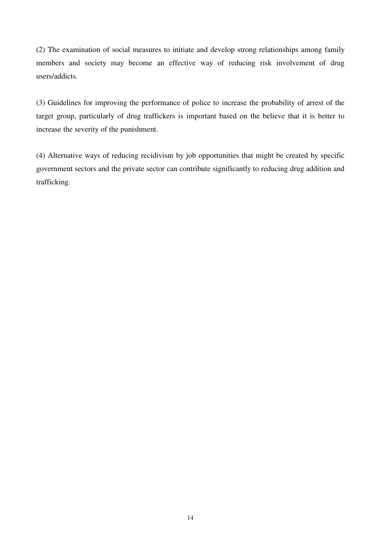(2) The examination of social measures to initiate and develop strong relationships among family members and society may become an effective way of reducing risk involvement of drug users/addicts.

(3) Guidelines for improving the performance of police to increase the probability of arrest of the target group, particularly of drug traffickers is important based on the believe that it is better to increase the severity of the punishment.

(4) Alternative ways of reducing recidivism by job opportunities that might be created by specific government sectors and the private sector can contribute significantly to reducing drug addition and trafficking.